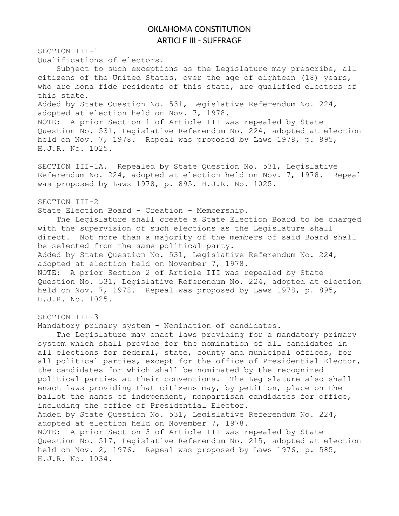## OKLAHOMA CONSTITUTION ARTICLE III - SUFFRAGE

SECTION III-1 Qualifications of electors.

Subject to such exceptions as the Legislature may prescribe, all citizens of the United States, over the age of eighteen (18) years, who are bona fide residents of this state, are qualified electors of this state. Added by State Question No. 531, Legislative Referendum No. 224, adopted at election held on Nov. 7, 1978. NOTE: A prior Section 1 of Article III was repealed by State Question No. 531, Legislative Referendum No. 224, adopted at election held on Nov. 7, 1978. Repeal was proposed by Laws 1978, p. 895, H.J.R. No. 1025.

SECTION III-1A. Repealed by State Question No. 531, Legislative Referendum No. 224, adopted at election held on Nov. 7, 1978. Repeal was proposed by Laws 1978, p. 895, H.J.R. No. 1025.

## SECTION III-2

State Election Board - Creation - Membership.

The Legislature shall create a State Election Board to be charged with the supervision of such elections as the Legislature shall direct. Not more than a majority of the members of said Board shall be selected from the same political party. Added by State Question No. 531, Legislative Referendum No. 224, adopted at election held on November 7, 1978. NOTE: A prior Section 2 of Article III was repealed by State Question No. 531, Legislative Referendum No. 224, adopted at election held on Nov. 7, 1978. Repeal was proposed by Laws 1978, p. 895, H.J.R. No. 1025.

## SECTION III-3

Mandatory primary system - Nomination of candidates.

The Legislature may enact laws providing for a mandatory primary system which shall provide for the nomination of all candidates in all elections for federal, state, county and municipal offices, for all political parties, except for the office of Presidential Elector, the candidates for which shall be nominated by the recognized political parties at their conventions. The Legislature also shall enact laws providing that citizens may, by petition, place on the ballot the names of independent, nonpartisan candidates for office, including the office of Presidential Elector. Added by State Question No. 531, Legislative Referendum No. 224, adopted at election held on November 7, 1978. NOTE: A prior Section 3 of Article III was repealed by State Question No. 517, Legislative Referendum No. 215, adopted at election held on Nov. 2, 1976. Repeal was proposed by Laws 1976, p. 585, H.J.R. No. 1034.